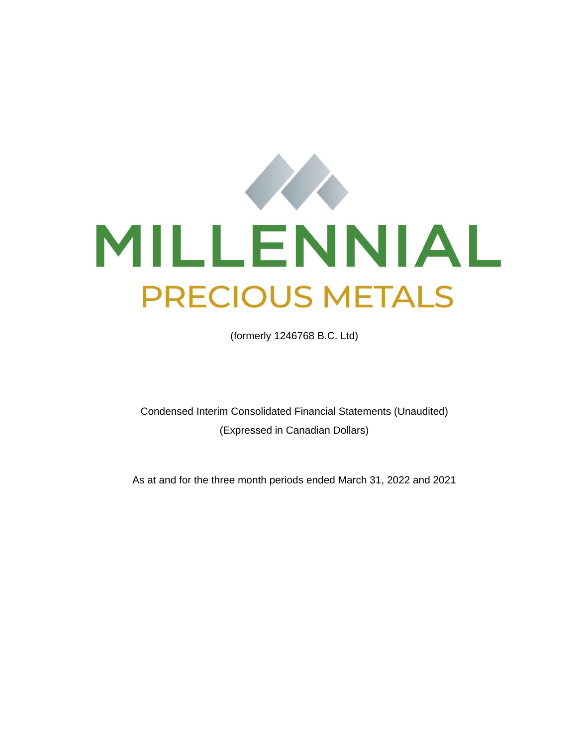

(formerly 1246768 B.C. Ltd)

Condensed Interim Consolidated Financial Statements (Unaudited) (Expressed in Canadian Dollars)

As at and for the three month periods ended March 31, 2022 and 2021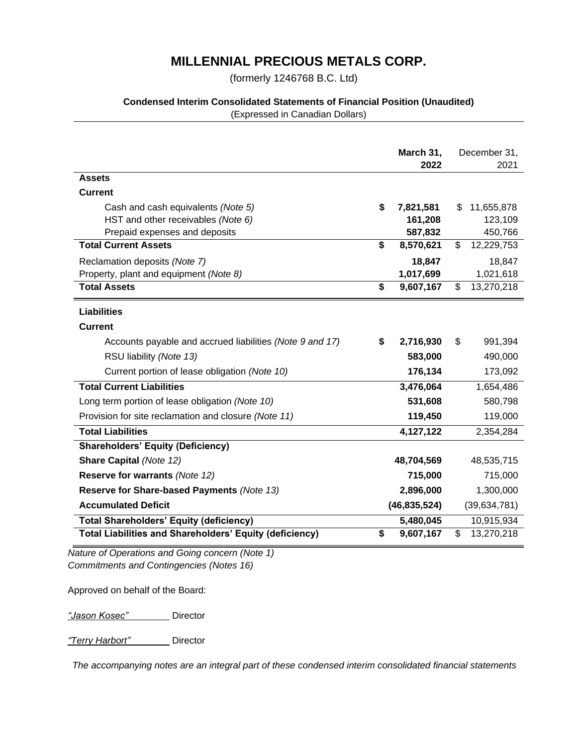(formerly 1246768 B.C. Ltd)

### **Condensed Interim Consolidated Statements of Financial Position (Unaudited)**

(Expressed in Canadian Dollars)

|                                                                | March 31,<br>2022 | December 31,<br>2021 |
|----------------------------------------------------------------|-------------------|----------------------|
| <b>Assets</b>                                                  |                   |                      |
| <b>Current</b>                                                 |                   |                      |
| Cash and cash equivalents (Note 5)                             | \$<br>7,821,581   | 11,655,878<br>\$     |
| HST and other receivables (Note 6)                             | 161,208           | 123,109              |
| Prepaid expenses and deposits                                  | 587,832           | 450,766              |
| <b>Total Current Assets</b>                                    | \$<br>8,570,621   | \$<br>12,229,753     |
| Reclamation deposits (Note 7)                                  | 18,847            | 18,847               |
| Property, plant and equipment (Note 8)                         | 1,017,699         | 1,021,618            |
| <b>Total Assets</b>                                            | \$<br>9,607,167   | \$<br>13,270,218     |
| <b>Liabilities</b>                                             |                   |                      |
| <b>Current</b>                                                 |                   |                      |
| Accounts payable and accrued liabilities (Note 9 and 17)       | \$<br>2,716,930   | 991,394<br>\$        |
| RSU liability (Note 13)                                        | 583,000           | 490,000              |
| Current portion of lease obligation (Note 10)                  | 176,134           | 173,092              |
| <b>Total Current Liabilities</b>                               | 3,476,064         | 1,654,486            |
| Long term portion of lease obligation (Note 10)                | 531,608           | 580,798              |
| Provision for site reclamation and closure (Note 11)           | 119,450           | 119,000              |
| <b>Total Liabilities</b>                                       | 4,127,122         | 2,354,284            |
| <b>Shareholders' Equity (Deficiency)</b>                       |                   |                      |
| <b>Share Capital (Note 12)</b>                                 | 48,704,569        | 48,535,715           |
| Reserve for warrants (Note 12)                                 | 715,000           | 715,000              |
| Reserve for Share-based Payments (Note 13)                     | 2,896,000         | 1,300,000            |
| <b>Accumulated Deficit</b>                                     | (46, 835, 524)    | (39, 634, 781)       |
| <b>Total Shareholders' Equity (deficiency)</b>                 | 5,480,045         | 10,915,934           |
| <b>Total Liabilities and Shareholders' Equity (deficiency)</b> | \$<br>9,607,167   | \$<br>13,270,218     |

*Nature of Operations and Going concern (Note 1) Commitments and Contingencies (Notes 16)*

Approved on behalf of the Board:

*"Jason Kosec"* Director

*"Terry Harbort"* Director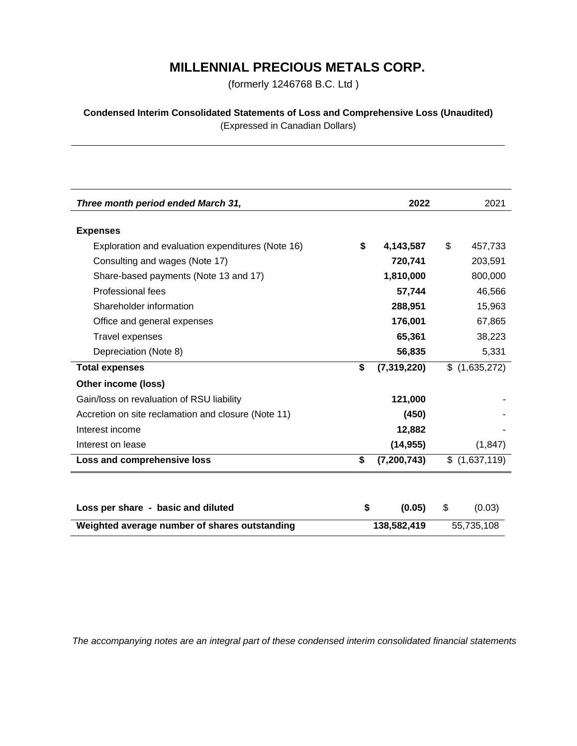(formerly 1246768 B.C. Ltd )

**Condensed Interim Consolidated Statements of Loss and Comprehensive Loss (Unaudited)** (Expressed in Canadian Dollars)

| Three month period ended March 31,                  | 2022                | 2021          |  |  |
|-----------------------------------------------------|---------------------|---------------|--|--|
|                                                     |                     |               |  |  |
| <b>Expenses</b>                                     |                     |               |  |  |
| Exploration and evaluation expenditures (Note 16)   | \$<br>4,143,587     | \$<br>457,733 |  |  |
| Consulting and wages (Note 17)                      | 720,741             | 203,591       |  |  |
| Share-based payments (Note 13 and 17)               | 1,810,000           | 800,000       |  |  |
| Professional fees                                   | 57,744              | 46,566        |  |  |
| Shareholder information                             | 288,951             | 15,963        |  |  |
| Office and general expenses                         | 176,001             | 67,865        |  |  |
| <b>Travel expenses</b>                              | 65,361              | 38,223        |  |  |
| Depreciation (Note 8)                               | 56,835              | 5,331         |  |  |
| <b>Total expenses</b>                               | \$<br>(7,319,220)   | \$(1,635,272) |  |  |
| Other income (loss)                                 |                     |               |  |  |
| Gain/loss on revaluation of RSU liability           | 121,000             |               |  |  |
| Accretion on site reclamation and closure (Note 11) | (450)               |               |  |  |
| Interest income                                     | 12,882              |               |  |  |
| Interest on lease                                   | (14, 955)           | (1, 847)      |  |  |
| Loss and comprehensive loss                         | \$<br>(7, 200, 743) | \$(1,637,119) |  |  |
|                                                     |                     |               |  |  |
|                                                     |                     |               |  |  |
| Loss per share - basic and diluted                  | \$<br>(0.05)        | \$<br>(0.03)  |  |  |
| Weighted average number of shares outstanding       | 138,582,419         | 55,735,108    |  |  |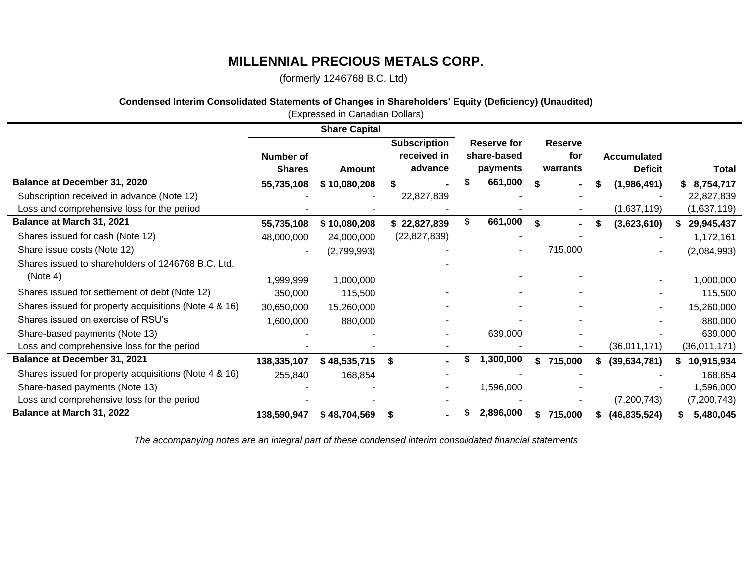(formerly 1246768 B.C. Ltd)

## **Condensed Interim Consolidated Statements of Changes in Shareholders' Equity (Deficiency) (Unaudited)**

|                                                       |                            | (Expressed in Canadian Dollars) |                                               |    |                                        |    |                                   |   |                                      |                 |
|-------------------------------------------------------|----------------------------|---------------------------------|-----------------------------------------------|----|----------------------------------------|----|-----------------------------------|---|--------------------------------------|-----------------|
|                                                       |                            | <b>Share Capital</b>            |                                               |    |                                        |    |                                   |   |                                      |                 |
|                                                       | Number of<br><b>Shares</b> | Amount                          | <b>Subscription</b><br>received in<br>advance |    | Reserve for<br>share-based<br>payments |    | <b>Reserve</b><br>for<br>warrants |   | <b>Accumulated</b><br><b>Deficit</b> | <b>Total</b>    |
| Balance at December 31, 2020                          | 55,735,108                 | \$10,080,208                    |                                               |    | 661,000                                |    |                                   | S | (1,986,491)                          | 8,754,717<br>S. |
| Subscription received in advance (Note 12)            |                            |                                 | 22,827,839                                    |    |                                        |    |                                   |   |                                      | 22,827,839      |
| Loss and comprehensive loss for the period            |                            |                                 |                                               |    |                                        |    |                                   |   | (1,637,119)                          | (1,637,119)     |
| Balance at March 31, 2021                             | 55,735,108                 | \$10,080,208                    | \$22,827,839                                  |    | 661,000                                | \$ |                                   |   | (3,623,610)                          | 29,945,437      |
| Shares issued for cash (Note 12)                      | 48,000,000                 | 24,000,000                      | (22, 827, 839)                                |    |                                        |    |                                   |   |                                      | 1,172,161       |
| Share issue costs (Note 12)                           |                            | (2,799,993)                     |                                               |    |                                        |    | 715,000                           |   |                                      | (2,084,993)     |
| Shares issued to shareholders of 1246768 B.C. Ltd.    |                            |                                 |                                               |    |                                        |    |                                   |   |                                      |                 |
| (Note 4)                                              | 1,999,999                  | 1,000,000                       |                                               |    |                                        |    |                                   |   |                                      | 1,000,000       |
| Shares issued for settlement of debt (Note 12)        | 350,000                    | 115,500                         |                                               |    |                                        |    |                                   |   |                                      | 115,500         |
| Shares issued for property acquisitions (Note 4 & 16) | 30,650,000                 | 15,260,000                      |                                               |    |                                        |    |                                   |   |                                      | 15,260,000      |
| Shares issued on exercise of RSU's                    | 1,600,000                  | 880,000                         |                                               |    |                                        |    |                                   |   |                                      | 880,000         |
| Share-based payments (Note 13)                        |                            |                                 |                                               |    | 639,000                                |    |                                   |   |                                      | 639,000         |
| Loss and comprehensive loss for the period            |                            |                                 |                                               |    |                                        |    |                                   |   | (36,011,171)                         | (36,011,171)    |
| Balance at December 31, 2021                          | 138,335,107                | \$48,535,715                    | S                                             | S  | 1,300,000                              | \$ | 715,000                           |   | (39, 634, 781)                       | 10,915,934      |
| Shares issued for property acquisitions (Note 4 & 16) | 255,840                    | 168,854                         |                                               |    |                                        |    |                                   |   |                                      | 168,854         |
| Share-based payments (Note 13)                        |                            |                                 |                                               |    | 1,596,000                              |    |                                   |   |                                      | 1,596,000       |
| Loss and comprehensive loss for the period            |                            |                                 |                                               |    |                                        |    |                                   |   | (7,200,743)                          | (7, 200, 743)   |
| Balance at March 31, 2022                             | 138,590,947                | \$48,704,569                    | S                                             | \$ | 2,896,000                              | S. | 715,000                           | S | (46, 835, 524)                       | 5,480,045       |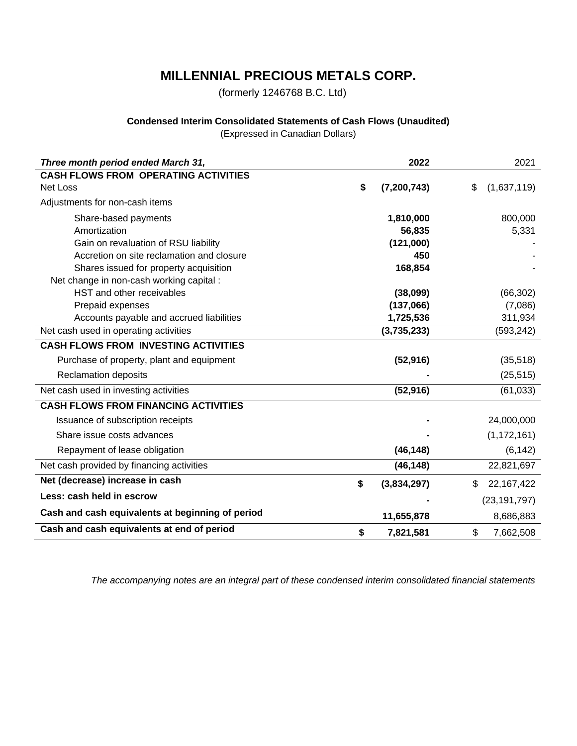(formerly 1246768 B.C. Ltd)

## **Condensed Interim Consolidated Statements of Cash Flows (Unaudited)**

(Expressed in Canadian Dollars)

| Three month period ended March 31,               | 2022                | 2021               |
|--------------------------------------------------|---------------------|--------------------|
| <b>CASH FLOWS FROM OPERATING ACTIVITIES</b>      |                     |                    |
| <b>Net Loss</b>                                  | \$<br>(7, 200, 743) | (1,637,119)<br>\$  |
| Adjustments for non-cash items                   |                     |                    |
| Share-based payments                             | 1,810,000           | 800,000            |
| Amortization                                     | 56,835              | 5,331              |
| Gain on revaluation of RSU liability             | (121,000)           |                    |
| Accretion on site reclamation and closure        | 450                 |                    |
| Shares issued for property acquisition           | 168,854             |                    |
| Net change in non-cash working capital :         |                     |                    |
| HST and other receivables                        | (38,099)            | (66, 302)          |
| Prepaid expenses                                 | (137,066)           | (7,086)            |
| Accounts payable and accrued liabilities         | 1,725,536           | 311,934            |
| Net cash used in operating activities            | (3,735,233)         | (593, 242)         |
| <b>CASH FLOWS FROM INVESTING ACTIVITIES</b>      |                     |                    |
| Purchase of property, plant and equipment        | (52, 916)           | (35, 518)          |
| <b>Reclamation deposits</b>                      |                     | (25, 515)          |
| Net cash used in investing activities            | (52, 916)           | (61, 033)          |
| <b>CASH FLOWS FROM FINANCING ACTIVITIES</b>      |                     |                    |
| Issuance of subscription receipts                |                     | 24,000,000         |
| Share issue costs advances                       |                     | (1, 172, 161)      |
| Repayment of lease obligation                    | (46, 148)           | (6, 142)           |
| Net cash provided by financing activities        | (46, 148)           | 22,821,697         |
| Net (decrease) increase in cash                  | \$<br>(3,834,297)   | \$<br>22, 167, 422 |
| Less: cash held in escrow                        |                     | (23, 191, 797)     |
| Cash and cash equivalents at beginning of period | 11,655,878          | 8,686,883          |
| Cash and cash equivalents at end of period       | \$<br>7,821,581     | \$<br>7,662,508    |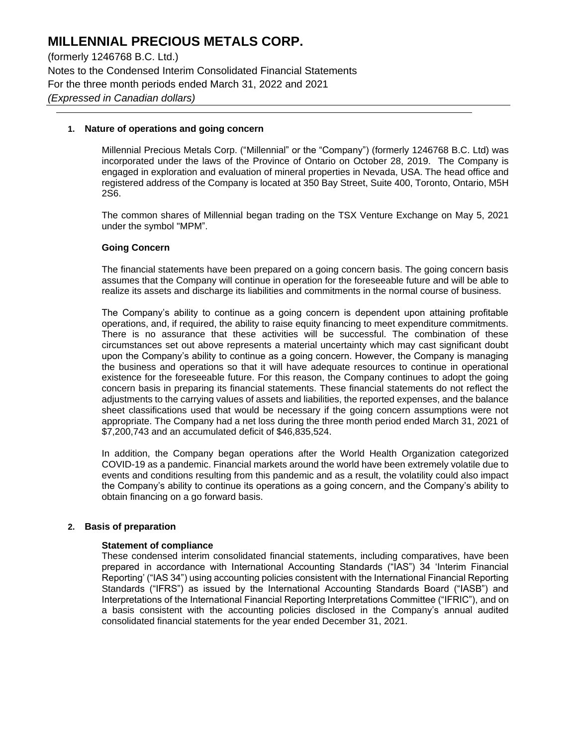(formerly 1246768 B.C. Ltd.) Notes to the Condensed Interim Consolidated Financial Statements For the three month periods ended March 31, 2022 and 2021 *(Expressed in Canadian dollars)*

#### **1. Nature of operations and going concern**

Millennial Precious Metals Corp. ("Millennial" or the "Company") (formerly 1246768 B.C. Ltd) was incorporated under the laws of the Province of Ontario on October 28, 2019. The Company is engaged in exploration and evaluation of mineral properties in Nevada, USA. The head office and registered address of the Company is located at 350 Bay Street, Suite 400, Toronto, Ontario, M5H 2S6.

The common shares of Millennial began trading on the TSX Venture Exchange on May 5, 2021 under the symbol "MPM".

#### **Going Concern**

The financial statements have been prepared on a going concern basis. The going concern basis assumes that the Company will continue in operation for the foreseeable future and will be able to realize its assets and discharge its liabilities and commitments in the normal course of business.

The Company's ability to continue as a going concern is dependent upon attaining profitable operations, and, if required, the ability to raise equity financing to meet expenditure commitments. There is no assurance that these activities will be successful. The combination of these circumstances set out above represents a material uncertainty which may cast significant doubt upon the Company's ability to continue as a going concern. However, the Company is managing the business and operations so that it will have adequate resources to continue in operational existence for the foreseeable future. For this reason, the Company continues to adopt the going concern basis in preparing its financial statements. These financial statements do not reflect the adjustments to the carrying values of assets and liabilities, the reported expenses, and the balance sheet classifications used that would be necessary if the going concern assumptions were not appropriate. The Company had a net loss during the three month period ended March 31, 2021 of \$7,200,743 and an accumulated deficit of \$46,835,524.

In addition, the Company began operations after the World Health Organization categorized COVID-19 as a pandemic. Financial markets around the world have been extremely volatile due to events and conditions resulting from this pandemic and as a result, the volatility could also impact the Company's ability to continue its operations as a going concern, and the Company's ability to obtain financing on a go forward basis.

#### **2. Basis of preparation**

#### **Statement of compliance**

These condensed interim consolidated financial statements, including comparatives, have been prepared in accordance with International Accounting Standards ("IAS") 34 'Interim Financial Reporting' ("IAS 34") using accounting policies consistent with the International Financial Reporting Standards ("IFRS") as issued by the International Accounting Standards Board ("IASB") and Interpretations of the International Financial Reporting Interpretations Committee ("IFRIC"), and on a basis consistent with the accounting policies disclosed in the Company's annual audited consolidated financial statements for the year ended December 31, 2021.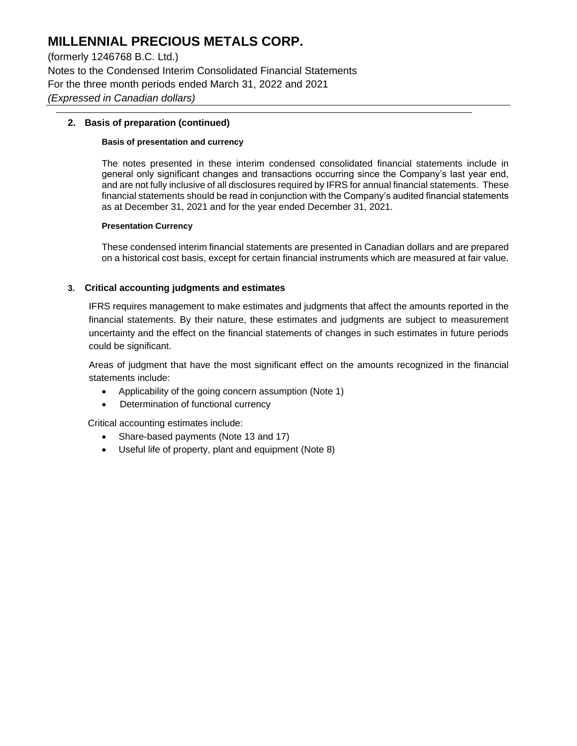(formerly 1246768 B.C. Ltd.) Notes to the Condensed Interim Consolidated Financial Statements For the three month periods ended March 31, 2022 and 2021 *(Expressed in Canadian dollars)*

### **2. Basis of preparation (continued)**

#### **Basis of presentation and currency**

The notes presented in these interim condensed consolidated financial statements include in general only significant changes and transactions occurring since the Company's last year end, and are not fully inclusive of all disclosures required by IFRS for annual financial statements. These financial statements should be read in conjunction with the Company's audited financial statements as at December 31, 2021 and for the year ended December 31, 2021.

#### **Presentation Currency**

These condensed interim financial statements are presented in Canadian dollars and are prepared on a historical cost basis, except for certain financial instruments which are measured at fair value.

### **3. Critical accounting judgments and estimates**

IFRS requires management to make estimates and judgments that affect the amounts reported in the financial statements. By their nature, these estimates and judgments are subject to measurement uncertainty and the effect on the financial statements of changes in such estimates in future periods could be significant.

Areas of judgment that have the most significant effect on the amounts recognized in the financial statements include:

- Applicability of the going concern assumption (Note 1)
- Determination of functional currency

Critical accounting estimates include:

- Share-based payments (Note 13 and 17)
- Useful life of property, plant and equipment (Note 8)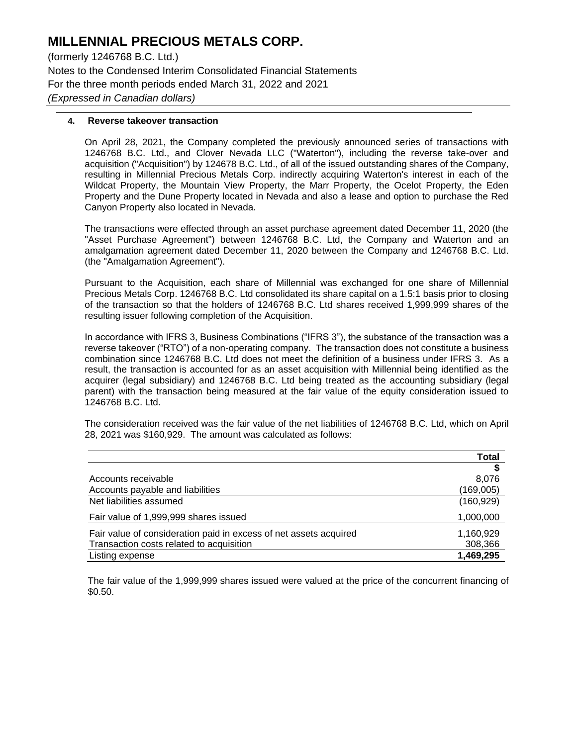(formerly 1246768 B.C. Ltd.) Notes to the Condensed Interim Consolidated Financial Statements For the three month periods ended March 31, 2022 and 2021 *(Expressed in Canadian dollars)*

#### **4. Reverse takeover transaction**

On April 28, 2021, the Company completed the previously announced series of transactions with 1246768 B.C. Ltd., and Clover Nevada LLC ("Waterton"), including the reverse take-over and acquisition ("Acquisition") by 124678 B.C. Ltd., of all of the issued outstanding shares of the Company, resulting in Millennial Precious Metals Corp. indirectly acquiring Waterton's interest in each of the Wildcat Property, the Mountain View Property, the Marr Property, the Ocelot Property, the Eden Property and the Dune Property located in Nevada and also a lease and option to purchase the Red Canyon Property also located in Nevada.

The transactions were effected through an asset purchase agreement dated December 11, 2020 (the "Asset Purchase Agreement") between 1246768 B.C. Ltd, the Company and Waterton and an amalgamation agreement dated December 11, 2020 between the Company and 1246768 B.C. Ltd. (the "Amalgamation Agreement").

Pursuant to the Acquisition, each share of Millennial was exchanged for one share of Millennial Precious Metals Corp. 1246768 B.C. Ltd consolidated its share capital on a 1.5:1 basis prior to closing of the transaction so that the holders of 1246768 B.C. Ltd shares received 1,999,999 shares of the resulting issuer following completion of the Acquisition.

In accordance with IFRS 3, Business Combinations ("IFRS 3"), the substance of the transaction was a reverse takeover ("RTO") of a non-operating company. The transaction does not constitute a business combination since 1246768 B.C. Ltd does not meet the definition of a business under IFRS 3. As a result, the transaction is accounted for as an asset acquisition with Millennial being identified as the acquirer (legal subsidiary) and 1246768 B.C. Ltd being treated as the accounting subsidiary (legal parent) with the transaction being measured at the fair value of the equity consideration issued to 1246768 B.C. Ltd.

The consideration received was the fair value of the net liabilities of 1246768 B.C. Ltd, which on April 28, 2021 was \$160,929. The amount was calculated as follows:

|                                                                   | Total      |
|-------------------------------------------------------------------|------------|
|                                                                   |            |
| Accounts receivable                                               | 8.076      |
| Accounts payable and liabilities                                  | (169,005)  |
| Net liabilities assumed                                           | (160, 929) |
| Fair value of 1,999,999 shares issued                             | 1,000,000  |
| Fair value of consideration paid in excess of net assets acquired | 1,160,929  |
| Transaction costs related to acquisition                          | 308,366    |
| Listing expense                                                   | 1,469,295  |

The fair value of the 1,999,999 shares issued were valued at the price of the concurrent financing of \$0.50.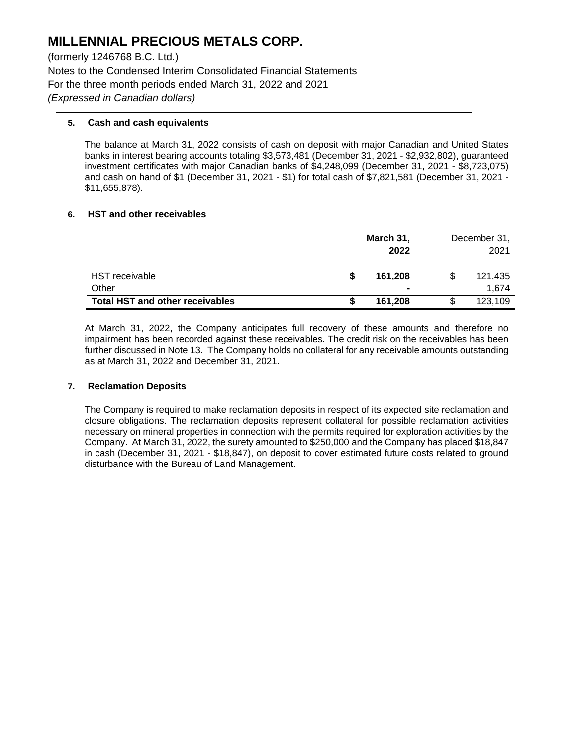(formerly 1246768 B.C. Ltd.) Notes to the Condensed Interim Consolidated Financial Statements For the three month periods ended March 31, 2022 and 2021 *(Expressed in Canadian dollars)*

### **5. Cash and cash equivalents**

The balance at March 31, 2022 consists of cash on deposit with major Canadian and United States banks in interest bearing accounts totaling \$3,573,481 (December 31, 2021 - \$2,932,802), guaranteed investment certificates with major Canadian banks of \$4,248,099 (December 31, 2021 - \$8,723,075) and cash on hand of \$1 (December 31, 2021 - \$1) for total cash of \$7,821,581 (December 31, 2021 - \$11,655,878).

#### **6. HST and other receivables**

|                                        |   | March 31,<br>2022         | December 31,<br>2021 |                  |  |  |
|----------------------------------------|---|---------------------------|----------------------|------------------|--|--|
| <b>HST</b> receivable<br>Other         | S | 161.208<br>$\blacksquare$ | \$.                  | 121,435<br>1.674 |  |  |
| <b>Total HST and other receivables</b> | S | 161.208                   |                      | 123,109          |  |  |

At March 31, 2022, the Company anticipates full recovery of these amounts and therefore no impairment has been recorded against these receivables. The credit risk on the receivables has been further discussed in Note 13. The Company holds no collateral for any receivable amounts outstanding as at March 31, 2022 and December 31, 2021.

### **7. Reclamation Deposits**

The Company is required to make reclamation deposits in respect of its expected site reclamation and closure obligations. The reclamation deposits represent collateral for possible reclamation activities necessary on mineral properties in connection with the permits required for exploration activities by the Company. At March 31, 2022, the surety amounted to \$250,000 and the Company has placed \$18,847 in cash (December 31, 2021 - \$18,847), on deposit to cover estimated future costs related to ground disturbance with the Bureau of Land Management.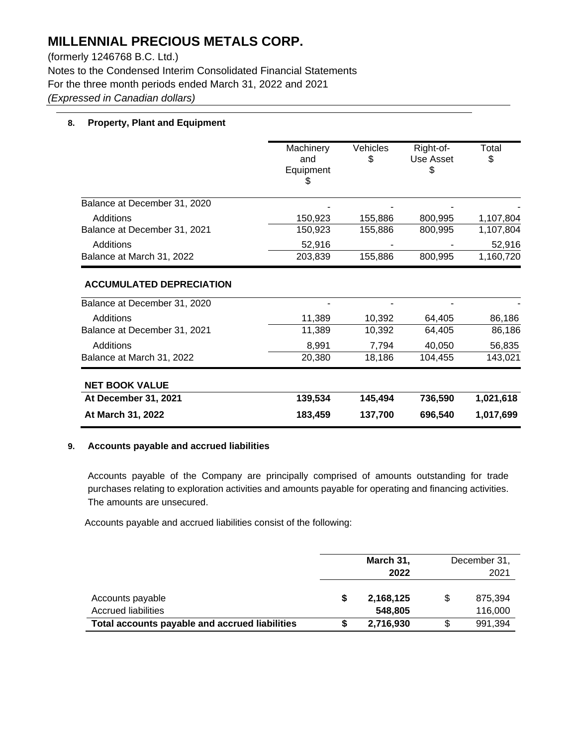(formerly 1246768 B.C. Ltd.) Notes to the Condensed Interim Consolidated Financial Statements For the three month periods ended March 31, 2022 and 2021 *(Expressed in Canadian dollars)*

## **8. Property, Plant and Equipment**

|                                                                 | Machinery<br>and<br>Equipment<br>Ъ | Vehicles<br>\$ | Right-of-<br><b>Use Asset</b><br>S | Total<br>\$ |
|-----------------------------------------------------------------|------------------------------------|----------------|------------------------------------|-------------|
| Balance at December 31, 2020                                    |                                    |                |                                    |             |
| Additions                                                       | 150,923                            | 155,886        | 800,995                            | 1,107,804   |
| Balance at December 31, 2021                                    | 150,923                            | 155,886        | 800,995                            | 1,107,804   |
| Additions                                                       | 52,916                             |                |                                    | 52,916      |
| Balance at March 31, 2022                                       | 203,839                            | 155,886        | 800,995                            | 1,160,720   |
| <b>ACCUMULATED DEPRECIATION</b><br>Balance at December 31, 2020 |                                    |                |                                    |             |
| Additions                                                       | 11,389                             | 10,392         | 64,405                             | 86,186      |
| Balance at December 31, 2021                                    | 11,389                             | 10,392         | 64,405                             | 86,186      |
| Additions                                                       | 8,991                              | 7,794          | 40,050                             | 56,835      |
| Balance at March 31, 2022                                       | 20,380                             | 18,186         | 104,455                            | 143,021     |
| <b>NET BOOK VALUE</b>                                           |                                    |                |                                    |             |
| At December 31, 2021                                            | 139,534                            | 145,494        | 736,590                            | 1,021,618   |
| At March 31, 2022                                               | 183,459                            | 137,700        | 696,540                            | 1,017,699   |

#### **9. Accounts payable and accrued liabilities**

Accounts payable of the Company are principally comprised of amounts outstanding for trade purchases relating to exploration activities and amounts payable for operating and financing activities. The amounts are unsecured.

Accounts payable and accrued liabilities consist of the following:

|                                                | March 31, | December 31, |         |  |
|------------------------------------------------|-----------|--------------|---------|--|
|                                                | 2022      |              | 2021    |  |
| Accounts payable                               | 2,168,125 | \$           | 875.394 |  |
| <b>Accrued liabilities</b>                     | 548,805   |              | 116,000 |  |
| Total accounts payable and accrued liabilities | 2,716,930 |              | 991.394 |  |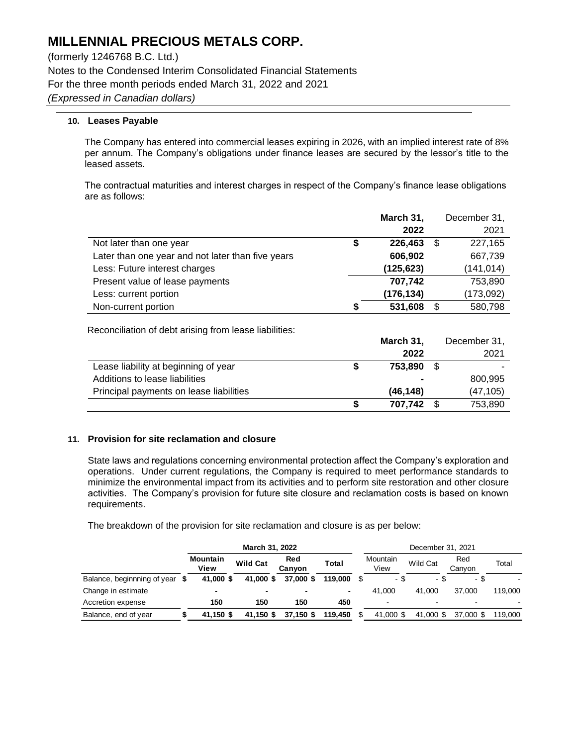(formerly 1246768 B.C. Ltd.) Notes to the Condensed Interim Consolidated Financial Statements For the three month periods ended March 31, 2022 and 2021 *(Expressed in Canadian dollars)*

## **10. Leases Payable**

The Company has entered into commercial leases expiring in 2026, with an implied interest rate of 8% per annum. The Company's obligations under finance leases are secured by the lessor's title to the leased assets.

The contractual maturities and interest charges in respect of the Company's finance lease obligations are as follows:

|                                                   |    | March 31,  | December 31,  |
|---------------------------------------------------|----|------------|---------------|
|                                                   |    | 2022       | 2021          |
| Not later than one year                           | \$ | 226,463    | \$<br>227,165 |
| Later than one year and not later than five years |    | 606,902    | 667,739       |
| Less: Future interest charges                     |    | (125, 623) | (141, 014)    |
| Present value of lease payments                   |    | 707,742    | 753,890       |
| Less: current portion                             |    | (176, 134) | (173, 092)    |
| Non-current portion                               | S  | 531,608    | \$<br>580,798 |

Reconciliation of debt arising from lease liabilities:

|                                         | March 31,      |      | December 31, |
|-----------------------------------------|----------------|------|--------------|
|                                         | 2022           |      | 2021         |
| Lease liability at beginning of year    | 753.890        | - \$ |              |
| Additions to lease liabilities          | $\blacksquare$ |      | 800.995      |
| Principal payments on lease liabilities | (46.148)       |      | (47, 105)    |
|                                         | 707.742        |      | 753,890      |

#### **11. Provision for site reclamation and closure**

State laws and regulations concerning environmental protection affect the Company's exploration and operations. Under current regulations, the Company is required to meet performance standards to minimize the environmental impact from its activities and to perform site restoration and other closure activities. The Company's provision for future site closure and reclamation costs is based on known requirements.

The breakdown of the provision for site reclamation and closure is as per below:

|                                | March 31, 2022          |                 |               |         | December 31, 2021 |                          |           |               |         |  |
|--------------------------------|-------------------------|-----------------|---------------|---------|-------------------|--------------------------|-----------|---------------|---------|--|
|                                | <b>Mountain</b><br>View | <b>Wild Cat</b> | Red<br>Canvon | Total   |                   | Mountain<br>View         | Wild Cat  | Red<br>Canyon | Total   |  |
| Balance, beginnning of year \$ | 41,000 \$               | 41,000 \$       | 37,000 \$     | 119.000 |                   | - \$                     | - \$      | - \$          |         |  |
| Change in estimate             | $\blacksquare$          | -               |               | ۰       |                   | 41.000                   | 41.000    | 37,000        | 119.000 |  |
| Accretion expense              | 150                     | 150             | 150           | 450     |                   | $\overline{\phantom{0}}$ |           |               |         |  |
| Balance, end of year           | 41.150 \$               | 41,150 \$       | 37,150 \$     | 119.450 |                   | 41,000 \$                | 41,000 \$ | 37,000 \$     | 119.000 |  |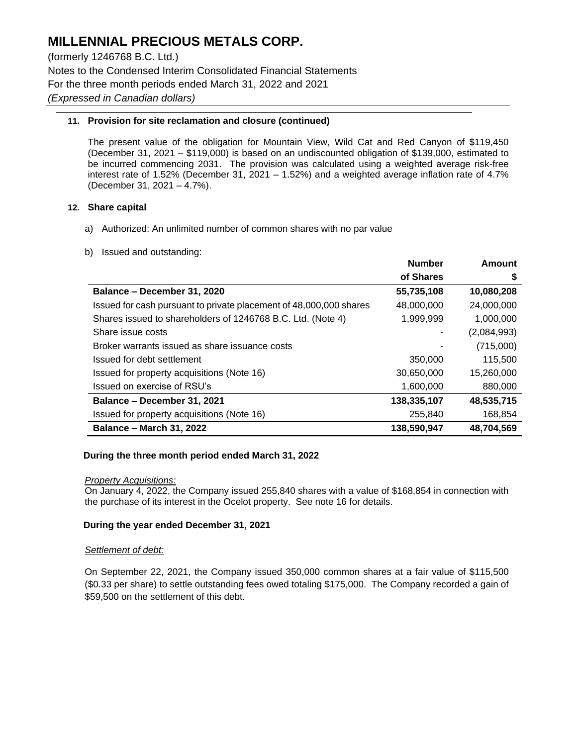(formerly 1246768 B.C. Ltd.) Notes to the Condensed Interim Consolidated Financial Statements For the three month periods ended March 31, 2022 and 2021 *(Expressed in Canadian dollars)*

### **11. Provision for site reclamation and closure (continued)**

The present value of the obligation for Mountain View, Wild Cat and Red Canyon of \$119,450 (December 31, 2021 – \$119,000) is based on an undiscounted obligation of \$139,000, estimated to be incurred commencing 2031. The provision was calculated using a weighted average risk-free interest rate of 1.52% (December 31, 2021 – 1.52%) and a weighted average inflation rate of 4.7% (December 31, 2021 – 4.7%).

## **12. Share capital**

- a) Authorized: An unlimited number of common shares with no par value
- b) Issued and outstanding:

|                                                                    | <b>Number</b> | Amount      |
|--------------------------------------------------------------------|---------------|-------------|
|                                                                    | of Shares     | S           |
| Balance – December 31, 2020                                        | 55,735,108    | 10,080,208  |
| Issued for cash pursuant to private placement of 48,000,000 shares | 48,000,000    | 24,000,000  |
| Shares issued to shareholders of 1246768 B.C. Ltd. (Note 4)        | 1,999,999     | 1,000,000   |
| Share issue costs                                                  |               | (2,084,993) |
| Broker warrants issued as share issuance costs                     |               | (715,000)   |
| Issued for debt settlement                                         | 350,000       | 115,500     |
| Issued for property acquisitions (Note 16)                         | 30,650,000    | 15,260,000  |
| Issued on exercise of RSU's                                        | 1,600,000     | 880,000     |
| Balance - December 31, 2021                                        | 138,335,107   | 48,535,715  |
| Issued for property acquisitions (Note 16)                         | 255,840       | 168,854     |
| <b>Balance - March 31, 2022</b>                                    | 138,590,947   | 48,704,569  |

#### **During the three month period ended March 31, 2022**

#### *Property Acquisitions:*

On January 4, 2022, the Company issued 255,840 shares with a value of \$168,854 in connection with the purchase of its interest in the Ocelot property. See note 16 for details.

### **During the year ended December 31, 2021**

#### *Settlement of debt:*

On September 22, 2021, the Company issued 350,000 common shares at a fair value of \$115,500 (\$0.33 per share) to settle outstanding fees owed totaling \$175,000. The Company recorded a gain of \$59,500 on the settlement of this debt.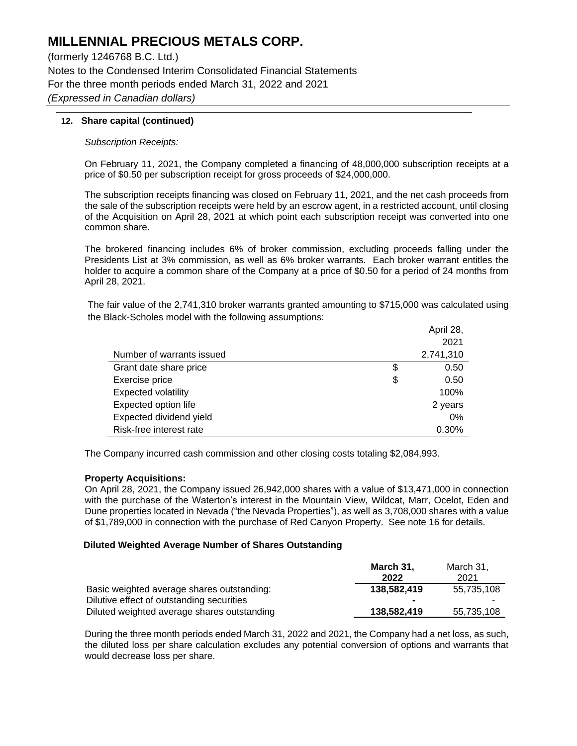(formerly 1246768 B.C. Ltd.) Notes to the Condensed Interim Consolidated Financial Statements For the three month periods ended March 31, 2022 and 2021 *(Expressed in Canadian dollars)*

### **12. Share capital (continued)**

#### *Subscription Receipts:*

On February 11, 2021, the Company completed a financing of 48,000,000 subscription receipts at a price of \$0.50 per subscription receipt for gross proceeds of \$24,000,000.

The subscription receipts financing was closed on February 11, 2021, and the net cash proceeds from the sale of the subscription receipts were held by an escrow agent, in a restricted account, until closing of the Acquisition on April 28, 2021 at which point each subscription receipt was converted into one common share.

The brokered financing includes 6% of broker commission, excluding proceeds falling under the Presidents List at 3% commission, as well as 6% broker warrants. Each broker warrant entitles the holder to acquire a common share of the Company at a price of \$0.50 for a period of 24 months from April 28, 2021.

The fair value of the 2,741,310 broker warrants granted amounting to \$715,000 was calculated using the Black-Scholes model with the following assumptions:

|                            | April 28,  |
|----------------------------|------------|
|                            | 2021       |
| Number of warrants issued  | 2,741,310  |
| Grant date share price     | \$<br>0.50 |
| Exercise price             | \$<br>0.50 |
| <b>Expected volatility</b> | 100%       |
| Expected option life       | 2 years    |
| Expected dividend yield    | $0\%$      |
| Risk-free interest rate    | 0.30%      |

The Company incurred cash commission and other closing costs totaling \$2,084,993.

#### **Property Acquisitions:**

On April 28, 2021, the Company issued 26,942,000 shares with a value of \$13,471,000 in connection with the purchase of the Waterton's interest in the Mountain View, Wildcat, Marr, Ocelot, Eden and Dune properties located in Nevada ("the Nevada Properties"), as well as 3,708,000 shares with a value of \$1,789,000 in connection with the purchase of Red Canyon Property. See note 16 for details.

#### **Diluted Weighted Average Number of Shares Outstanding**

|                                             | March 31,      | March 31,  |
|---------------------------------------------|----------------|------------|
|                                             | 2022           | 2021       |
| Basic weighted average shares outstanding:  | 138.582.419    | 55.735.108 |
| Dilutive effect of outstanding securities   | $\blacksquare$ | -          |
| Diluted weighted average shares outstanding | 138,582,419    | 55,735,108 |

During the three month periods ended March 31, 2022 and 2021, the Company had a net loss, as such, the diluted loss per share calculation excludes any potential conversion of options and warrants that would decrease loss per share.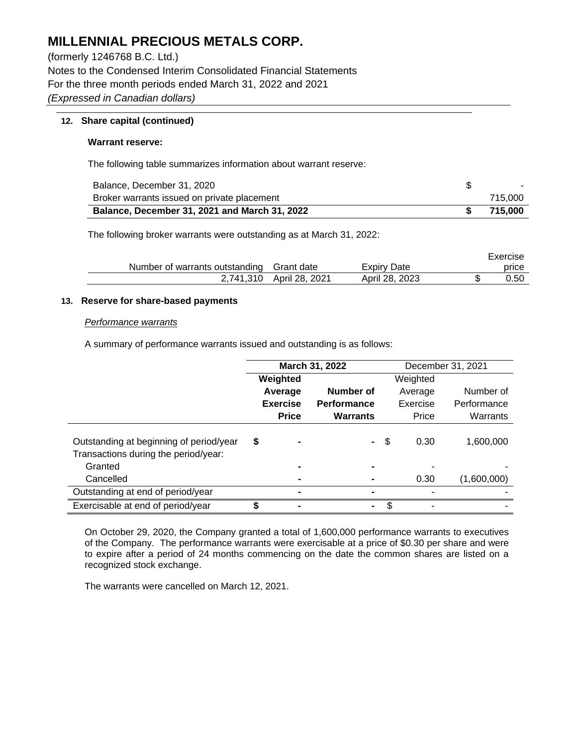(formerly 1246768 B.C. Ltd.) Notes to the Condensed Interim Consolidated Financial Statements For the three month periods ended March 31, 2022 and 2021 *(Expressed in Canadian dollars)*

### **12. Share capital (continued)**

#### **Warrant reserve:**

The following table summarizes information about warrant reserve:

| Balance, December 31, 2020                           | $\sim$  |
|------------------------------------------------------|---------|
| Broker warrants issued on private placement          | 715.000 |
| <b>Balance, December 31, 2021 and March 31, 2022</b> | 715.000 |

The following broker warrants were outstanding as at March 31, 2022:

|                                           |                |                    | Exercise |
|-------------------------------------------|----------------|--------------------|----------|
| Number of warrants outstanding Grant date |                | <b>Expiry Date</b> | price    |
| 2.741.310                                 | April 28. 2021 | April 28, 2023     | 0.50     |

#### **13. Reserve for share-based payments**

#### *Performance warrants*

A summary of performance warrants issued and outstanding is as follows:

|                                                                                 | March 31, 2022 |                 |                 |    | December 31, 2021 |             |
|---------------------------------------------------------------------------------|----------------|-----------------|-----------------|----|-------------------|-------------|
|                                                                                 |                | Weighted        |                 |    | Weighted          |             |
|                                                                                 |                | Average         | Number of       |    | Average           | Number of   |
|                                                                                 |                | <b>Exercise</b> | Performance     |    | Exercise          | Performance |
|                                                                                 |                | <b>Price</b>    | <b>Warrants</b> |    | Price             | Warrants    |
| Outstanding at beginning of period/year<br>Transactions during the period/year: | \$             |                 | $\blacksquare$  | \$ | 0.30              | 1,600,000   |
| Granted                                                                         |                |                 |                 |    |                   |             |
| Cancelled                                                                       |                |                 |                 |    | 0.30              | (1,600,000) |
| Outstanding at end of period/year                                               |                |                 |                 |    |                   |             |
| Exercisable at end of period/year                                               |                |                 | ۰               | S  |                   |             |

On October 29, 2020, the Company granted a total of 1,600,000 performance warrants to executives of the Company. The performance warrants were exercisable at a price of \$0.30 per share and were to expire after a period of 24 months commencing on the date the common shares are listed on a recognized stock exchange.

The warrants were cancelled on March 12, 2021.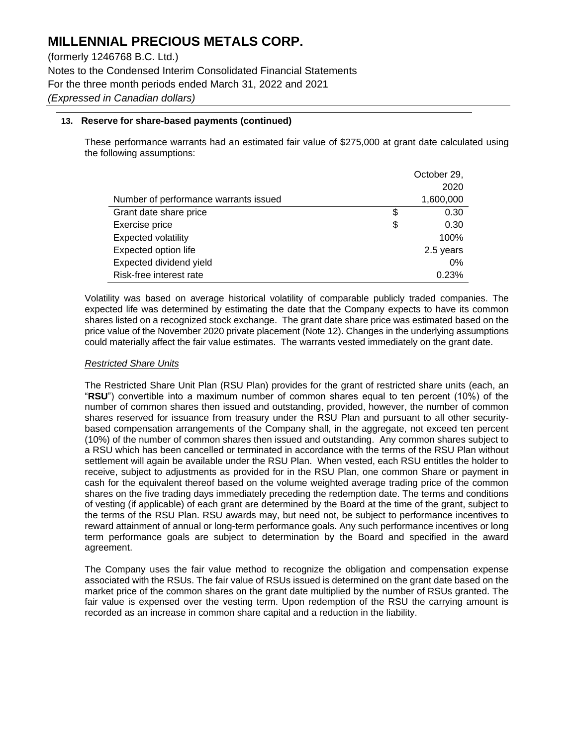(formerly 1246768 B.C. Ltd.) Notes to the Condensed Interim Consolidated Financial Statements For the three month periods ended March 31, 2022 and 2021 *(Expressed in Canadian dollars)*

## **13. Reserve for share-based payments (continued)**

These performance warrants had an estimated fair value of \$275,000 at grant date calculated using the following assumptions:

|                                       | October 29, |
|---------------------------------------|-------------|
|                                       | 2020        |
| Number of performance warrants issued | 1,600,000   |
| Grant date share price                | \$<br>0.30  |
| Exercise price                        | \$<br>0.30  |
| <b>Expected volatility</b>            | 100%        |
| Expected option life                  | 2.5 years   |
| Expected dividend yield               | $0\%$       |
| Risk-free interest rate               | 0.23%       |

Volatility was based on average historical volatility of comparable publicly traded companies. The expected life was determined by estimating the date that the Company expects to have its common shares listed on a recognized stock exchange. The grant date share price was estimated based on the price value of the November 2020 private placement (Note 12). Changes in the underlying assumptions could materially affect the fair value estimates. The warrants vested immediately on the grant date.

#### *Restricted Share Units*

The Restricted Share Unit Plan (RSU Plan) provides for the grant of restricted share units (each, an "**RSU**") convertible into a maximum number of common shares equal to ten percent (10%) of the number of common shares then issued and outstanding, provided, however, the number of common shares reserved for issuance from treasury under the RSU Plan and pursuant to all other securitybased compensation arrangements of the Company shall, in the aggregate, not exceed ten percent (10%) of the number of common shares then issued and outstanding. Any common shares subject to a RSU which has been cancelled or terminated in accordance with the terms of the RSU Plan without settlement will again be available under the RSU Plan. When vested, each RSU entitles the holder to receive, subject to adjustments as provided for in the RSU Plan, one common Share or payment in cash for the equivalent thereof based on the volume weighted average trading price of the common shares on the five trading days immediately preceding the redemption date. The terms and conditions of vesting (if applicable) of each grant are determined by the Board at the time of the grant, subject to the terms of the RSU Plan. RSU awards may, but need not, be subject to performance incentives to reward attainment of annual or long-term performance goals. Any such performance incentives or long term performance goals are subject to determination by the Board and specified in the award agreement.

The Company uses the fair value method to recognize the obligation and compensation expense associated with the RSUs. The fair value of RSUs issued is determined on the grant date based on the market price of the common shares on the grant date multiplied by the number of RSUs granted. The fair value is expensed over the vesting term. Upon redemption of the RSU the carrying amount is recorded as an increase in common share capital and a reduction in the liability.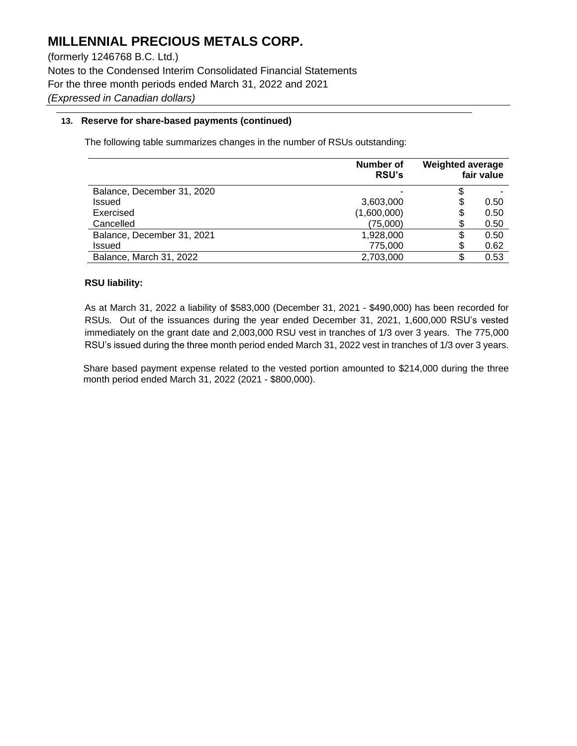(formerly 1246768 B.C. Ltd.) Notes to the Condensed Interim Consolidated Financial Statements For the three month periods ended March 31, 2022 and 2021 *(Expressed in Canadian dollars)*

## **13. Reserve for share-based payments (continued)**

The following table summarizes changes in the number of RSUs outstanding:

|                            | Number of<br><b>RSU's</b> | <b>Weighted average</b> | fair value |
|----------------------------|---------------------------|-------------------------|------------|
| Balance, December 31, 2020 |                           | S                       |            |
| <b>Issued</b>              | 3,603,000                 | \$                      | 0.50       |
| Exercised                  | (1,600,000)               | \$                      | 0.50       |
| Cancelled                  | (75,000)                  | \$                      | 0.50       |
| Balance, December 31, 2021 | 1,928,000                 | \$                      | 0.50       |
| Issued                     | 775,000                   | S                       | 0.62       |
| Balance, March 31, 2022    | 2,703,000                 | S                       | 0.53       |

### **RSU liability:**

As at March 31, 2022 a liability of \$583,000 (December 31, 2021 - \$490,000) has been recorded for RSUs. Out of the issuances during the year ended December 31, 2021, 1,600,000 RSU's vested immediately on the grant date and 2,003,000 RSU vest in tranches of 1/3 over 3 years. The 775,000 RSU's issued during the three month period ended March 31, 2022 vest in tranches of 1/3 over 3 years.

Share based payment expense related to the vested portion amounted to \$214,000 during the three month period ended March 31, 2022 (2021 - \$800,000).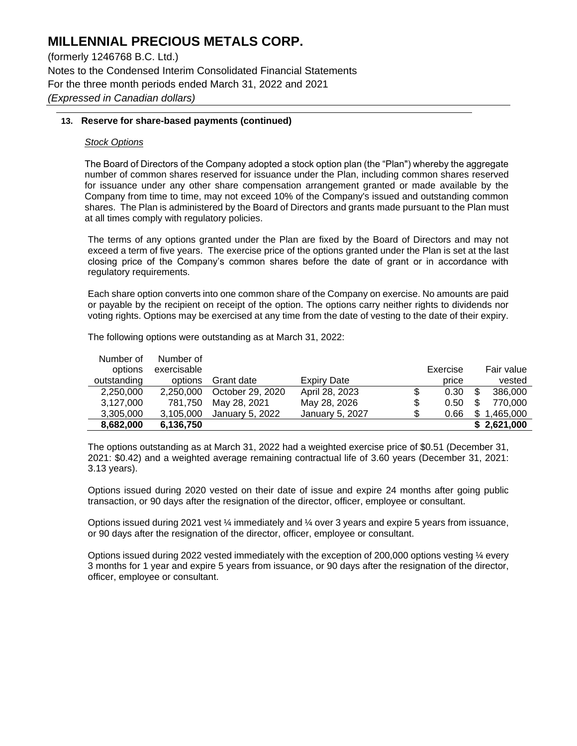(formerly 1246768 B.C. Ltd.) Notes to the Condensed Interim Consolidated Financial Statements For the three month periods ended March 31, 2022 and 2021 *(Expressed in Canadian dollars)*

### **13. Reserve for share-based payments (continued)**

#### *Stock Options*

The Board of Directors of the Company adopted a stock option plan (the "Plan") whereby the aggregate number of common shares reserved for issuance under the Plan, including common shares reserved for issuance under any other share compensation arrangement granted or made available by the Company from time to time, may not exceed 10% of the Company's issued and outstanding common shares. The Plan is administered by the Board of Directors and grants made pursuant to the Plan must at all times comply with regulatory policies.

The terms of any options granted under the Plan are fixed by the Board of Directors and may not exceed a term of five years. The exercise price of the options granted under the Plan is set at the last closing price of the Company's common shares before the date of grant or in accordance with regulatory requirements.

Each share option converts into one common share of the Company on exercise. No amounts are paid or payable by the recipient on receipt of the option. The options carry neither rights to dividends nor voting rights. Options may be exercised at any time from the date of vesting to the date of their expiry.

| Number of   | Number of   |                  |                 |    |          |             |
|-------------|-------------|------------------|-----------------|----|----------|-------------|
| options     | exercisable |                  |                 |    | Exercise | Fair value  |
| outstanding | options     | Grant date       | Expiry Date     |    | price    | vested      |
| 2,250,000   | 2.250.000   | October 29, 2020 | April 28, 2023  | \$ | 0.30     | 386,000     |
| 3,127,000   | 781,750     | May 28, 2021     | May 28, 2026    | \$ | 0.50     | 770.000     |
| 3,305,000   | 3,105,000   | January 5, 2022  | January 5, 2027 | S  | 0.66     | 1,465,000   |
| 8,682,000   | 6,136,750   |                  |                 |    |          | \$2,621,000 |

The following options were outstanding as at March 31, 2022:

The options outstanding as at March 31, 2022 had a weighted exercise price of \$0.51 (December 31, 2021: \$0.42) and a weighted average remaining contractual life of 3.60 years (December 31, 2021: 3.13 years).

Options issued during 2020 vested on their date of issue and expire 24 months after going public transaction, or 90 days after the resignation of the director, officer, employee or consultant.

Options issued during 2021 vest ¼ immediately and ¼ over 3 years and expire 5 years from issuance, or 90 days after the resignation of the director, officer, employee or consultant.

Options issued during 2022 vested immediately with the exception of 200,000 options vesting ¼ every 3 months for 1 year and expire 5 years from issuance, or 90 days after the resignation of the director, officer, employee or consultant.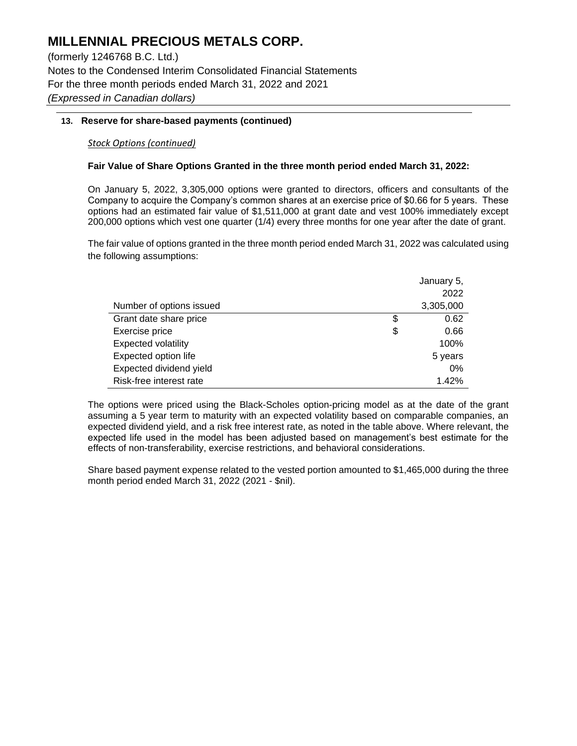(formerly 1246768 B.C. Ltd.) Notes to the Condensed Interim Consolidated Financial Statements For the three month periods ended March 31, 2022 and 2021 *(Expressed in Canadian dollars)*

## **13. Reserve for share-based payments (continued)**

## *Stock Options (continued)*

### **Fair Value of Share Options Granted in the three month period ended March 31, 2022:**

On January 5, 2022, 3,305,000 options were granted to directors, officers and consultants of the Company to acquire the Company's common shares at an exercise price of \$0.66 for 5 years. These options had an estimated fair value of \$1,511,000 at grant date and vest 100% immediately except 200,000 options which vest one quarter (1/4) every three months for one year after the date of grant.

The fair value of options granted in the three month period ended March 31, 2022 was calculated using the following assumptions:

|                            | January 5, |  |  |
|----------------------------|------------|--|--|
|                            | 2022       |  |  |
| Number of options issued   | 3,305,000  |  |  |
| Grant date share price     | \$<br>0.62 |  |  |
| Exercise price             | \$<br>0.66 |  |  |
| <b>Expected volatility</b> | 100%       |  |  |
| Expected option life       | 5 years    |  |  |
| Expected dividend yield    | $0\%$      |  |  |
| Risk-free interest rate    | 1.42%      |  |  |

The options were priced using the Black-Scholes option-pricing model as at the date of the grant assuming a 5 year term to maturity with an expected volatility based on comparable companies, an expected dividend yield, and a risk free interest rate, as noted in the table above. Where relevant, the expected life used in the model has been adjusted based on management's best estimate for the effects of non-transferability, exercise restrictions, and behavioral considerations.

Share based payment expense related to the vested portion amounted to \$1,465,000 during the three month period ended March 31, 2022 (2021 - \$nil).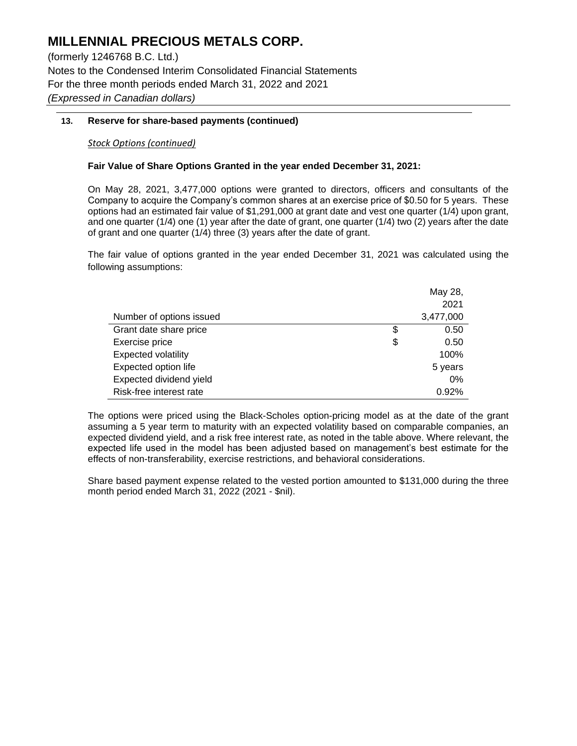(formerly 1246768 B.C. Ltd.) Notes to the Condensed Interim Consolidated Financial Statements For the three month periods ended March 31, 2022 and 2021 *(Expressed in Canadian dollars)*

## **13. Reserve for share-based payments (continued)**

## *Stock Options (continued)*

### **Fair Value of Share Options Granted in the year ended December 31, 2021:**

On May 28, 2021, 3,477,000 options were granted to directors, officers and consultants of the Company to acquire the Company's common shares at an exercise price of \$0.50 for 5 years. These options had an estimated fair value of \$1,291,000 at grant date and vest one quarter (1/4) upon grant, and one quarter (1/4) one (1) year after the date of grant, one quarter (1/4) two (2) years after the date of grant and one quarter (1/4) three (3) years after the date of grant.

The fair value of options granted in the year ended December 31, 2021 was calculated using the following assumptions:

|                            | May 28,    |
|----------------------------|------------|
|                            | 2021       |
| Number of options issued   | 3,477,000  |
| Grant date share price     | \$<br>0.50 |
| Exercise price             | \$<br>0.50 |
| <b>Expected volatility</b> | 100%       |
| Expected option life       | 5 years    |
| Expected dividend yield    | $0\%$      |
| Risk-free interest rate    | 0.92%      |

The options were priced using the Black-Scholes option-pricing model as at the date of the grant assuming a 5 year term to maturity with an expected volatility based on comparable companies, an expected dividend yield, and a risk free interest rate, as noted in the table above. Where relevant, the expected life used in the model has been adjusted based on management's best estimate for the effects of non-transferability, exercise restrictions, and behavioral considerations.

Share based payment expense related to the vested portion amounted to \$131,000 during the three month period ended March 31, 2022 (2021 - \$nil).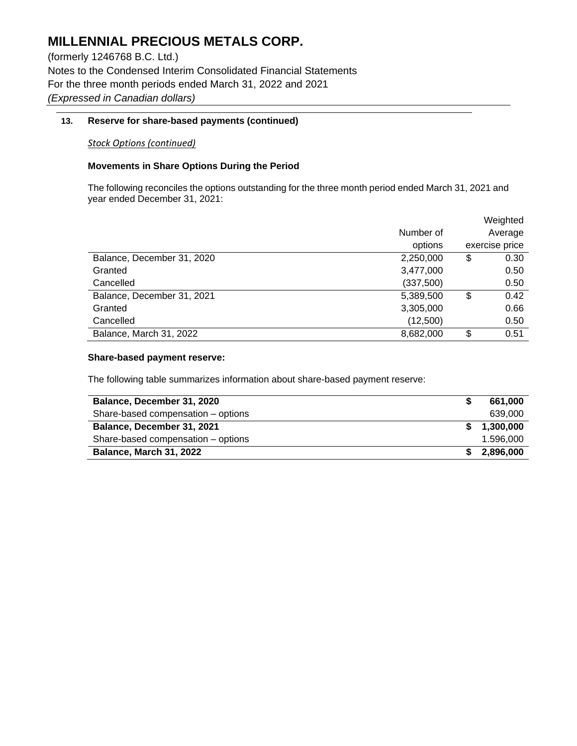(formerly 1246768 B.C. Ltd.) Notes to the Condensed Interim Consolidated Financial Statements For the three month periods ended March 31, 2022 and 2021 *(Expressed in Canadian dollars)*

## **13. Reserve for share-based payments (continued)**

### *Stock Options (continued)*

### **Movements in Share Options During the Period**

The following reconciles the options outstanding for the three month period ended March 31, 2021 and year ended December 31, 2021:

|                            |           | Weighted       |
|----------------------------|-----------|----------------|
|                            | Number of | Average        |
|                            | options   | exercise price |
| Balance, December 31, 2020 | 2,250,000 | \$<br>0.30     |
| Granted                    | 3,477,000 | 0.50           |
| Cancelled                  | (337,500) | 0.50           |
| Balance, December 31, 2021 | 5,389,500 | \$<br>0.42     |
| Granted                    | 3,305,000 | 0.66           |
| Cancelled                  | (12,500)  | 0.50           |
| Balance, March 31, 2022    | 8,682,000 | \$<br>0.51     |

#### **Share-based payment reserve:**

The following table summarizes information about share-based payment reserve:

| Balance, December 31, 2020         | 661.000   |
|------------------------------------|-----------|
| Share-based compensation - options | 639.000   |
| Balance, December 31, 2021         | 1,300,000 |
| Share-based compensation - options | 1.596.000 |
| <b>Balance, March 31, 2022</b>     | 2,896,000 |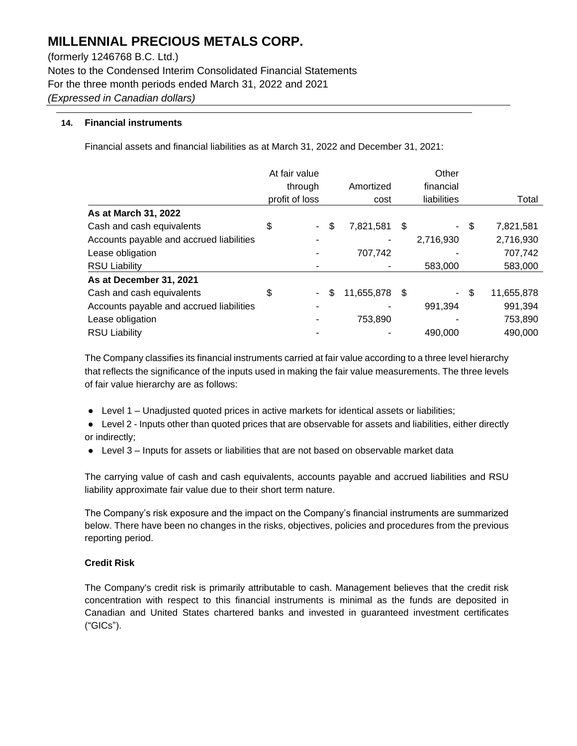(formerly 1246768 B.C. Ltd.) Notes to the Condensed Interim Consolidated Financial Statements For the three month periods ended March 31, 2022 and 2021 *(Expressed in Canadian dollars)*

## **14. Financial instruments**

Financial assets and financial liabilities as at March 31, 2022 and December 31, 2021:

|                                          | At fair value  |    |            | Other |             |    |            |
|------------------------------------------|----------------|----|------------|-------|-------------|----|------------|
|                                          | through        |    | Amortized  |       | financial   |    |            |
|                                          | profit of loss |    | cost       |       | liabilities |    | Total      |
| As at March 31, 2022                     |                |    |            |       |             |    |            |
| Cash and cash equivalents                | \$             | \$ | 7,821,581  | \$    | $\sim$      | \$ | 7,821,581  |
| Accounts payable and accrued liabilities |                |    |            |       | 2,716,930   |    | 2,716,930  |
| Lease obligation                         |                |    | 707,742    |       |             |    | 707,742    |
| <b>RSU Liability</b>                     |                |    |            |       | 583,000     |    | 583,000    |
| As at December 31, 2021                  |                |    |            |       |             |    |            |
| Cash and cash equivalents                | \$             | \$ | 11,655,878 | - \$  | $\sim$      | \$ | 11,655,878 |
| Accounts payable and accrued liabilities |                |    |            |       | 991,394     |    | 991,394    |
| Lease obligation                         |                |    | 753,890    |       |             |    | 753,890    |
| <b>RSU Liability</b>                     |                |    |            |       | 490,000     |    | 490,000    |

The Company classifies its financial instruments carried at fair value according to a three level hierarchy that reflects the significance of the inputs used in making the fair value measurements. The three levels of fair value hierarchy are as follows:

- Level 1 Unadjusted quoted prices in active markets for identical assets or liabilities;
- Level 2 Inputs other than quoted prices that are observable for assets and liabilities, either directly or indirectly;
- Level 3 Inputs for assets or liabilities that are not based on observable market data

The carrying value of cash and cash equivalents, accounts payable and accrued liabilities and RSU liability approximate fair value due to their short term nature.

The Company's risk exposure and the impact on the Company's financial instruments are summarized below. There have been no changes in the risks, objectives, policies and procedures from the previous reporting period.

## **Credit Risk**

The Company's credit risk is primarily attributable to cash. Management believes that the credit risk concentration with respect to this financial instruments is minimal as the funds are deposited in Canadian and United States chartered banks and invested in guaranteed investment certificates ("GICs").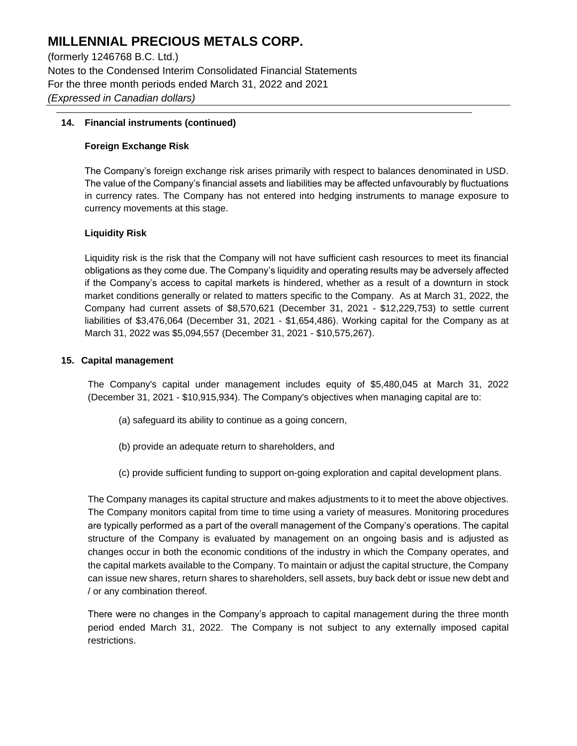(formerly 1246768 B.C. Ltd.) Notes to the Condensed Interim Consolidated Financial Statements For the three month periods ended March 31, 2022 and 2021 *(Expressed in Canadian dollars)*

## **14. Financial instruments (continued)**

## **Foreign Exchange Risk**

The Company's foreign exchange risk arises primarily with respect to balances denominated in USD. The value of the Company's financial assets and liabilities may be affected unfavourably by fluctuations in currency rates. The Company has not entered into hedging instruments to manage exposure to currency movements at this stage.

## **Liquidity Risk**

Liquidity risk is the risk that the Company will not have sufficient cash resources to meet its financial obligations as they come due. The Company's liquidity and operating results may be adversely affected if the Company's access to capital markets is hindered, whether as a result of a downturn in stock market conditions generally or related to matters specific to the Company. As at March 31, 2022, the Company had current assets of \$8,570,621 (December 31, 2021 - \$12,229,753) to settle current liabilities of \$3,476,064 (December 31, 2021 - \$1,654,486). Working capital for the Company as at March 31, 2022 was \$5,094,557 (December 31, 2021 - \$10,575,267).

### **15. Capital management**

The Company's capital under management includes equity of \$5,480,045 at March 31, 2022 (December 31, 2021 - \$10,915,934). The Company's objectives when managing capital are to:

- (a) safeguard its ability to continue as a going concern,
- (b) provide an adequate return to shareholders, and
- (c) provide sufficient funding to support on-going exploration and capital development plans.

The Company manages its capital structure and makes adjustments to it to meet the above objectives. The Company monitors capital from time to time using a variety of measures. Monitoring procedures are typically performed as a part of the overall management of the Company's operations. The capital structure of the Company is evaluated by management on an ongoing basis and is adjusted as changes occur in both the economic conditions of the industry in which the Company operates, and the capital markets available to the Company. To maintain or adjust the capital structure, the Company can issue new shares, return shares to shareholders, sell assets, buy back debt or issue new debt and / or any combination thereof.

There were no changes in the Company's approach to capital management during the three month period ended March 31, 2022. The Company is not subject to any externally imposed capital restrictions.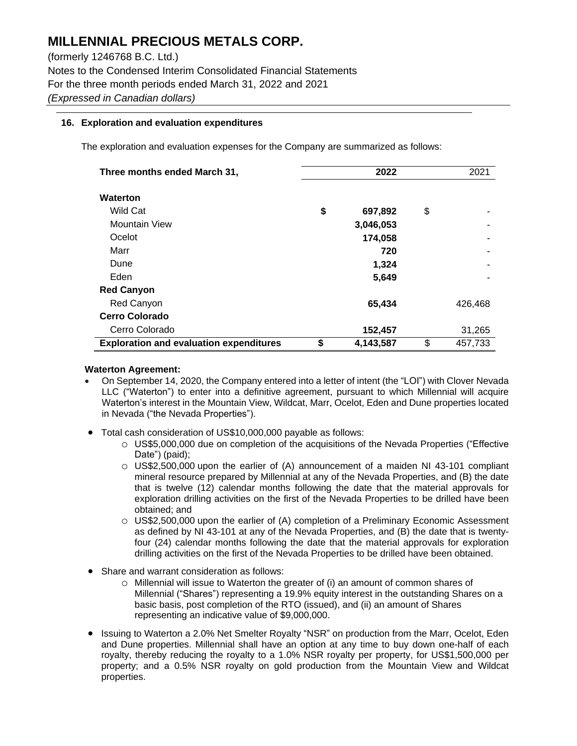(formerly 1246768 B.C. Ltd.) Notes to the Condensed Interim Consolidated Financial Statements For the three month periods ended March 31, 2022 and 2021 *(Expressed in Canadian dollars)*

### **16. Exploration and evaluation expenditures**

The exploration and evaluation expenses for the Company are summarized as follows:

| Three months ended March 31,                   | 2022 |           |    | 2021    |
|------------------------------------------------|------|-----------|----|---------|
| <b>Waterton</b>                                |      |           |    |         |
| <b>Wild Cat</b>                                | \$   | 697,892   | \$ |         |
| <b>Mountain View</b>                           |      | 3,046,053 |    |         |
| Ocelot                                         |      | 174,058   |    |         |
| Marr                                           |      | 720       |    |         |
| Dune                                           |      | 1,324     |    |         |
| Eden                                           |      | 5,649     |    |         |
| <b>Red Canyon</b>                              |      |           |    |         |
| Red Canyon                                     |      | 65,434    |    | 426,468 |
| <b>Cerro Colorado</b>                          |      |           |    |         |
| Cerro Colorado                                 |      | 152,457   |    | 31,265  |
| <b>Exploration and evaluation expenditures</b> | \$   | 4,143,587 | \$ | 457,733 |

#### **Waterton Agreement:**

- On September 14, 2020, the Company entered into a letter of intent (the "LOI") with Clover Nevada LLC ("Waterton") to enter into a definitive agreement, pursuant to which Millennial will acquire Waterton's interest in the Mountain View, Wildcat, Marr, Ocelot, Eden and Dune properties located in Nevada ("the Nevada Properties").
- Total cash consideration of US\$10,000,000 payable as follows:
	- o US\$5,000,000 due on completion of the acquisitions of the Nevada Properties ("Effective Date") (paid);
	- o US\$2,500,000 upon the earlier of (A) announcement of a maiden NI 43-101 compliant mineral resource prepared by Millennial at any of the Nevada Properties, and (B) the date that is twelve (12) calendar months following the date that the material approvals for exploration drilling activities on the first of the Nevada Properties to be drilled have been obtained; and
	- o US\$2,500,000 upon the earlier of (A) completion of a Preliminary Economic Assessment as defined by NI 43-101 at any of the Nevada Properties, and (B) the date that is twentyfour (24) calendar months following the date that the material approvals for exploration drilling activities on the first of the Nevada Properties to be drilled have been obtained.
- Share and warrant consideration as follows:
	- o Millennial will issue to Waterton the greater of (i) an amount of common shares of Millennial ("Shares") representing a 19.9% equity interest in the outstanding Shares on a basic basis, post completion of the RTO (issued), and (ii) an amount of Shares representing an indicative value of \$9,000,000.
- Issuing to Waterton a 2.0% Net Smelter Royalty "NSR" on production from the Marr, Ocelot, Eden and Dune properties. Millennial shall have an option at any time to buy down one-half of each royalty, thereby reducing the royalty to a 1.0% NSR royalty per property, for US\$1,500,000 per property; and a 0.5% NSR royalty on gold production from the Mountain View and Wildcat properties.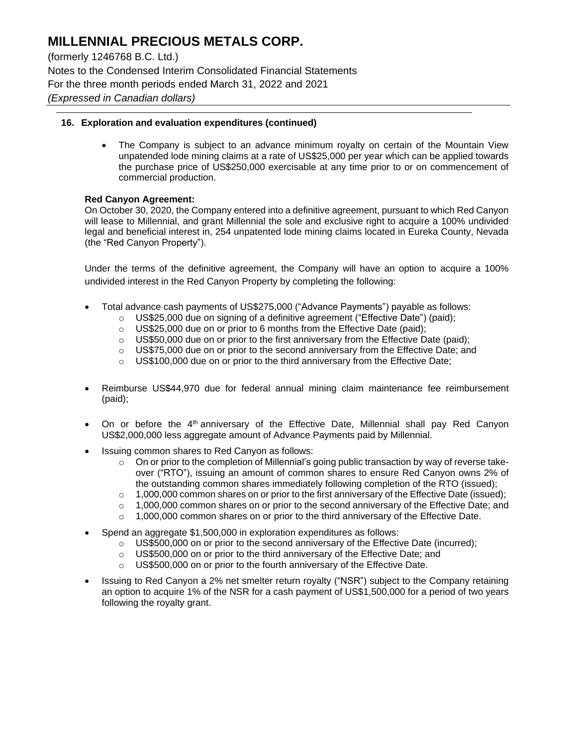(formerly 1246768 B.C. Ltd.) Notes to the Condensed Interim Consolidated Financial Statements For the three month periods ended March 31, 2022 and 2021 *(Expressed in Canadian dollars)*

### **16. Exploration and evaluation expenditures (continued)**

• The Company is subject to an advance minimum royalty on certain of the Mountain View unpatended lode mining claims at a rate of US\$25,000 per year which can be applied towards the purchase price of US\$250,000 exercisable at any time prior to or on commencement of commercial production.

#### **Red Canyon Agreement:**

On October 30, 2020, the Company entered into a definitive agreement, pursuant to which Red Canyon will lease to Millennial, and grant Millennial the sole and exclusive right to acquire a 100% undivided legal and beneficial interest in, 254 unpatented lode mining claims located in Eureka County, Nevada (the "Red Canyon Property").

Under the terms of the definitive agreement, the Company will have an option to acquire a 100% undivided interest in the Red Canyon Property by completing the following:

- Total advance cash payments of US\$275,000 ("Advance Payments") payable as follows:
	- $\circ$  US\$25,000 due on signing of a definitive agreement ("Effective Date") (paid);
		- $\circ$  US\$25,000 due on or prior to 6 months from the Effective Date (paid);
		- $\circ$  US\$50,000 due on or prior to the first anniversary from the Effective Date (paid);
		- $\circ$  US\$75,000 due on or prior to the second anniversary from the Effective Date; and
		- $\circ$  US\$100,000 due on or prior to the third anniversary from the Effective Date;
- Reimburse US\$44,970 due for federal annual mining claim maintenance fee reimbursement (paid);
- On or before the 4<sup>th</sup> anniversary of the Effective Date, Millennial shall pay Red Canyon US\$2,000,000 less aggregate amount of Advance Payments paid by Millennial.
- Issuing common shares to Red Canyon as follows:
	- $\circ$  On or prior to the completion of Millennial's going public transaction by way of reverse takeover ("RTO"), issuing an amount of common shares to ensure Red Canyon owns 2% of the outstanding common shares immediately following completion of the RTO (issued);
	- $\circ$  1,000,000 common shares on or prior to the first anniversary of the Effective Date (issued);
	- $\circ$  1,000,000 common shares on or prior to the second anniversary of the Effective Date; and
	- $\circ$  1,000,000 common shares on or prior to the third anniversary of the Effective Date.
- Spend an aggregate \$1,500,000 in exploration expenditures as follows:
	- $\circ$  US\$500,000 on or prior to the second anniversary of the Effective Date (incurred);
	- o US\$500,000 on or prior to the third anniversary of the Effective Date; and
	- o US\$500,000 on or prior to the fourth anniversary of the Effective Date.
- Issuing to Red Canyon a 2% net smelter return royalty ("NSR") subject to the Company retaining an option to acquire 1% of the NSR for a cash payment of US\$1,500,000 for a period of two years following the royalty grant.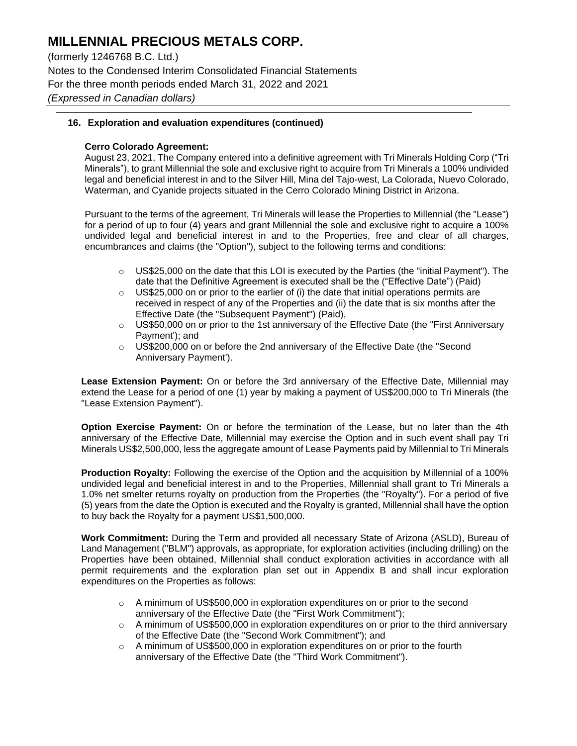(formerly 1246768 B.C. Ltd.) Notes to the Condensed Interim Consolidated Financial Statements For the three month periods ended March 31, 2022 and 2021 *(Expressed in Canadian dollars)*

### **16. Exploration and evaluation expenditures (continued)**

#### **Cerro Colorado Agreement:**

August 23, 2021, The Company entered into a definitive agreement with Tri Minerals Holding Corp ("Tri Minerals"), to grant Millennial the sole and exclusive right to acquire from Tri Minerals a 100% undivided legal and beneficial interest in and to the Silver Hill, Mina del Tajo-west, La Colorada, Nuevo Colorado, Waterman, and Cyanide projects situated in the Cerro Colorado Mining District in Arizona.

Pursuant to the terms of the agreement, Tri Minerals will lease the Properties to Millennial (the "Lease") for a period of up to four (4) years and grant Millennial the sole and exclusive right to acquire a 100% undivided legal and beneficial interest in and to the Properties, free and clear of all charges, encumbrances and claims (the "Option"), subject to the following terms and conditions:

- $\circ$  US\$25,000 on the date that this LOI is executed by the Parties (the "initial Payment"). The date that the Definitive Agreement is executed shall be the ("Effective Date") (Paid)
- $\circ$  US\$25,000 on or prior to the earlier of (i) the date that initial operations permits are received in respect of any of the Properties and (ii) the date that is six months after the Effective Date (the "Subsequent Payment") (Paid),
- $\circ$  US\$50,000 on or prior to the 1st anniversary of the Effective Date (the "First Anniversary Payment'); and
- o US\$200,000 on or before the 2nd anniversary of the Effective Date (the "Second Anniversary Payment').

**Lease Extension Payment:** On or before the 3rd anniversary of the Effective Date, Millennial may extend the Lease for a period of one (1) year by making a payment of US\$200,000 to Tri Minerals (the "Lease Extension Payment").

**Option Exercise Payment:** On or before the termination of the Lease, but no later than the 4th anniversary of the Effective Date, Millennial may exercise the Option and in such event shall pay Tri Minerals US\$2,500,000, less the aggregate amount of Lease Payments paid by Millennial to Tri Minerals

**Production Royalty:** Following the exercise of the Option and the acquisition by Millennial of a 100% undivided legal and beneficial interest in and to the Properties, Millennial shall grant to Tri Minerals a 1.0% net smelter returns royalty on production from the Properties (the "Royalty"). For a period of five (5) years from the date the Option is executed and the Royalty is granted, Millennial shall have the option to buy back the Royalty for a payment US\$1,500,000.

**Work Commitment:** During the Term and provided all necessary State of Arizona (ASLD), Bureau of Land Management ("BLM") approvals, as appropriate, for exploration activities (including drilling) on the Properties have been obtained, Millennial shall conduct exploration activities in accordance with all permit requirements and the exploration plan set out in Appendix B and shall incur exploration expenditures on the Properties as follows:

- $\circ$  A minimum of US\$500,000 in exploration expenditures on or prior to the second anniversary of the Effective Date (the "First Work Commitment");
- $\circ$  A minimum of US\$500,000 in exploration expenditures on or prior to the third anniversary of the Effective Date (the "Second Work Commitment"); and
- $\circ$  A minimum of US\$500,000 in exploration expenditures on or prior to the fourth anniversary of the Effective Date (the "Third Work Commitment").